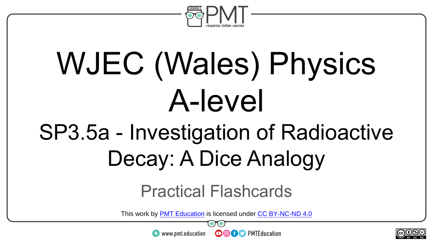

# WJEC (Wales) Physics A-level

### SP3.5a - Investigation of Radioactive Decay: A Dice Analogy

#### Practical Flashcards

This work by <u>PMT Education</u> is licensed under CC BY-NC-ND 4.0<br>
www.pmt.education **in the CO CO** PMTEducation



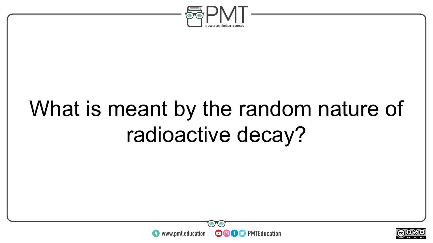

### What is meant by the random nature of radioactive decay?



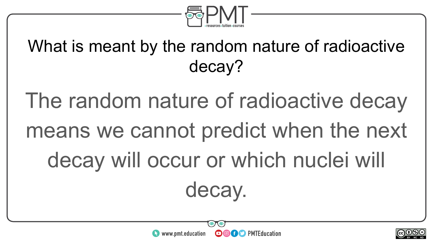

#### What is meant by the random nature of radioactive decay?

The random nature of radioactive decay means we cannot predict when the next decay will occur or which nuclei will decay.



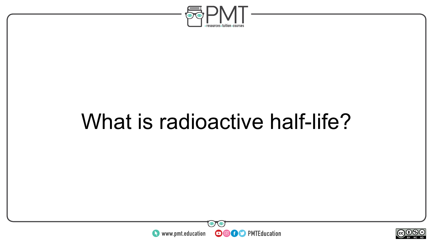

#### What is radioactive half-life?



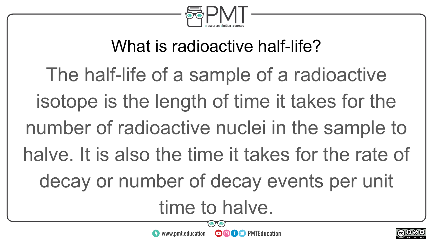

#### What is radioactive half-life?

The half-life of a sample of a radioactive isotope is the length of time it takes for the number of radioactive nuclei in the sample to halve. It is also the time it takes for the rate of decay or number of decay events per unit time to halve.

**OOOO D** PMTEducation

 $\bullet$  www.pmt.education

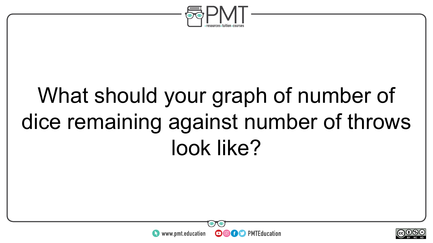

### What should your graph of number of dice remaining against number of throws look like?



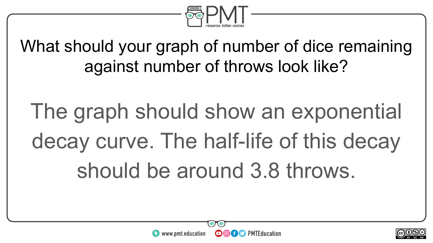

What should your graph of number of dice remaining against number of throws look like?

The graph should show an exponential decay curve. The half-life of this decay should be around 3.8 throws.



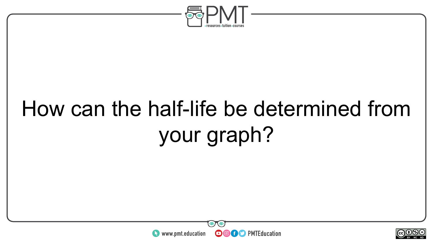

### How can the half-life be determined from your graph?



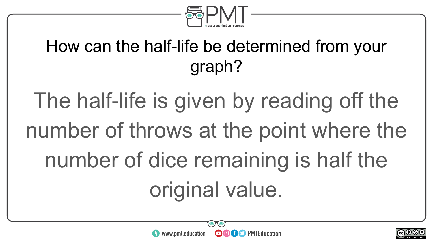

#### How can the half-life be determined from your graph?

The half-life is given by reading off the number of throws at the point where the number of dice remaining is half the original value.



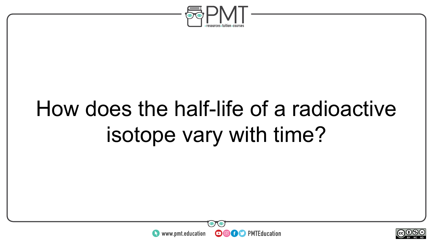

### How does the half-life of a radioactive isotope vary with time?



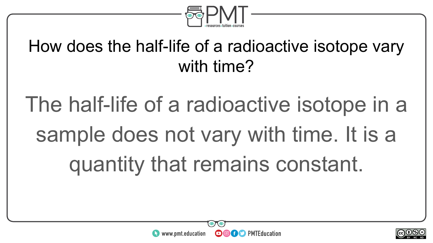

#### How does the half-life of a radioactive isotope vary with time?

## The half-life of a radioactive isotope in a sample does not vary with time. It is a quantity that remains constant.



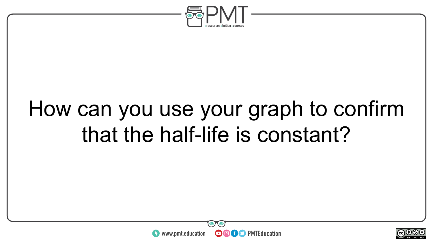

#### How can you use your graph to confirm that the half-life is constant?